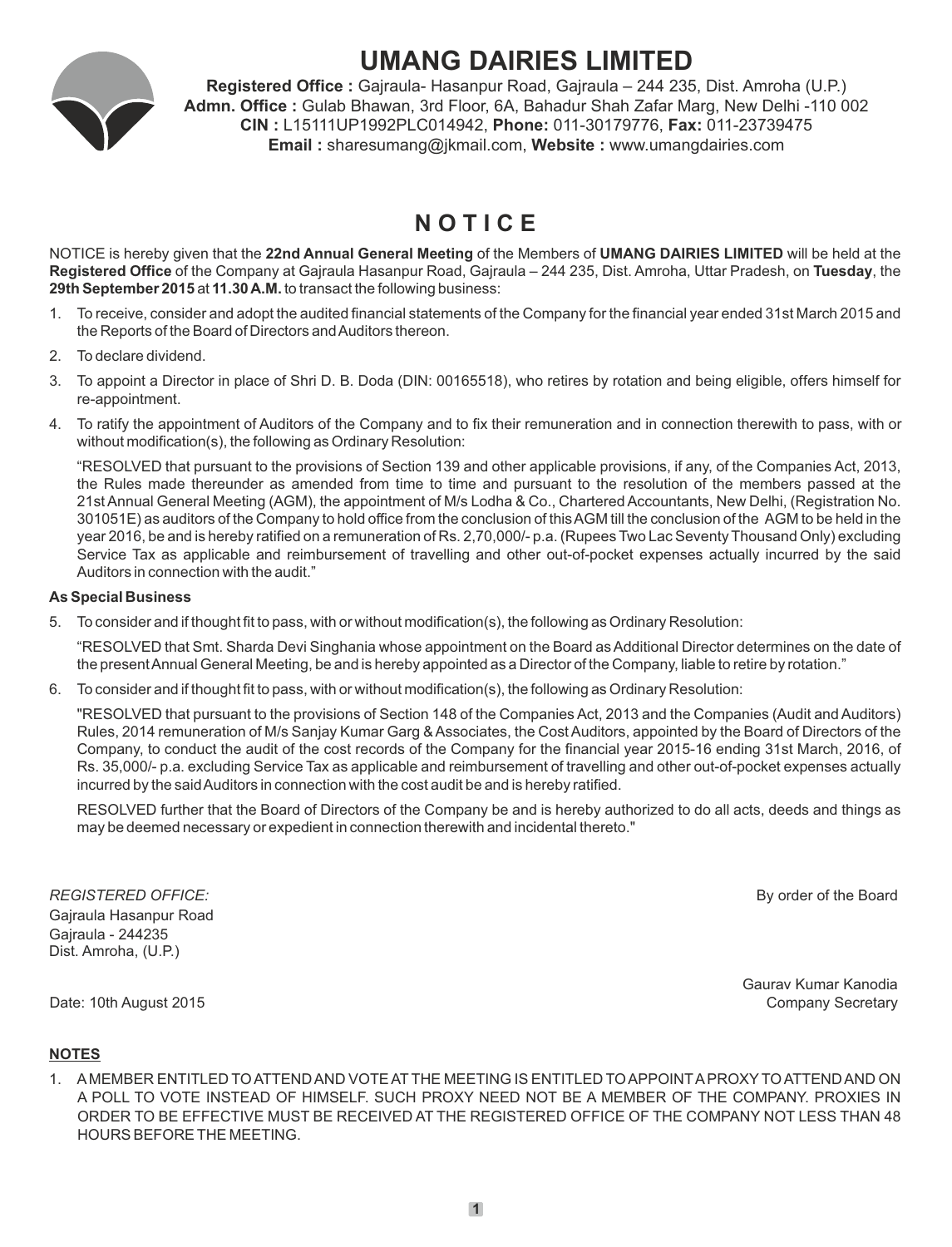

# **UMANG DAIRIES LIMITED**

**Registered Office :** Gajraula- Hasanpur Road, Gajraula – 244 235, Dist. Amroha (U.P.) **Admn. Office :** Gulab Bhawan, 3rd Floor, 6A, Bahadur Shah Zafar Marg, New Delhi -110 002 **CIN :** L15111UP1992PLC014942, **Phone:** 011-30179776, **Fax:** 011-23739475 **Email :** sharesumang@jkmail.com, **Website :** www.umangdairies.com

## **N O T I C E**

NOTICE is hereby given that the **22nd Annual General Meeting** of the Members of **UMANG DAIRIES LIMITED** will be held at the **Registered Office** of the Company at Gajraula Hasanpur Road, Gajraula – 244 235, Dist. Amroha, Uttar Pradesh, on **Tuesday**, the **29th September 2015** at **11.30 A.M.** to transact the following business:

- 1. To receive, consider and adopt the audited financial statements of the Company for the financial year ended 31st March 2015 and the Reports of the Board of Directors and Auditors thereon.
- 2. To declare dividend.
- 3. To appoint a Director in place of Shri D. B. Doda (DIN: 00165518), who retires by rotation and being eligible, offers himself for re-appointment.
- 4. To ratify the appointment of Auditors of the Company and to fix their remuneration and in connection therewith to pass, with or without modification(s), the following as Ordinary Resolution:

"RESOLVED that pursuant to the provisions of Section 139 and other applicable provisions, if any, of the Companies Act, 2013, the Rules made thereunder as amended from time to time and pursuant to the resolution of the members passed at the 21st Annual General Meeting (AGM), the appointment of M/s Lodha & Co., Chartered Accountants, New Delhi, (Registration No. 301051E) as auditors of the Company to hold office from the conclusion of this AGM till the conclusion of the AGM to be held in the year 2016, be and is hereby ratified on a remuneration of Rs. 2,70,000/- p.a. (Rupees Two Lac Seventy Thousand Only) excluding Service Tax as applicable and reimbursement of travelling and other out-of-pocket expenses actually incurred by the said Auditors in connection with the audit."

## **As Special Business**

5. To consider and if thought fit to pass, with or without modification(s), the following as Ordinary Resolution:

"RESOLVED that Smt. Sharda Devi Singhania whose appointment on the Board as Additional Director determines on the date of the present Annual General Meeting, be and is hereby appointed as a Director of the Company, liable to retire by rotation."

6. To consider and if thought fit to pass, with or without modification(s), the following as Ordinary Resolution:

"RESOLVED that pursuant to the provisions of Section 148 of the Companies Act, 2013 and the Companies (Audit and Auditors) Rules, 2014 remuneration of M/s Sanjay Kumar Garg & Associates, the Cost Auditors, appointed by the Board of Directors of the Company, to conduct the audit of the cost records of the Company for the financial year 2015-16 ending 31st March, 2016, of Rs. 35,000/- p.a. excluding Service Tax as applicable and reimbursement of travelling and other out-of-pocket expenses actually incurred by the said Auditors in connection with the cost audit be and is hereby ratified.

RESOLVED further that the Board of Directors of the Company be and is hereby authorized to do all acts, deeds and things as may be deemed necessary or expedient in connection therewith and incidental thereto."

*REGISTERED OFFICE:* By order of the Board Gajraula Hasanpur Road Gajraula - 244235 Dist. Amroha, (U.P.)

Gaurav Kumar Kanodia Date: 10th August 2015 **Company Secretary** Company Secretary Company Secretary Company Secretary

## **NOTES**

1. AMEMBER ENTITLED TO ATTEND AND VOTE AT THE MEETING IS ENTITLED TO APPOINTAPROXYTO ATTEND AND ON A POLL TO VOTE INSTEAD OF HIMSELF. SUCH PROXY NEED NOT BE A MEMBER OF THE COMPANY. PROXIES IN ORDER TO BE EFFECTIVE MUST BE RECEIVED AT THE REGISTERED OFFICE OF THE COMPANY NOT LESS THAN 48 HOURS BEFORE THE MEETING.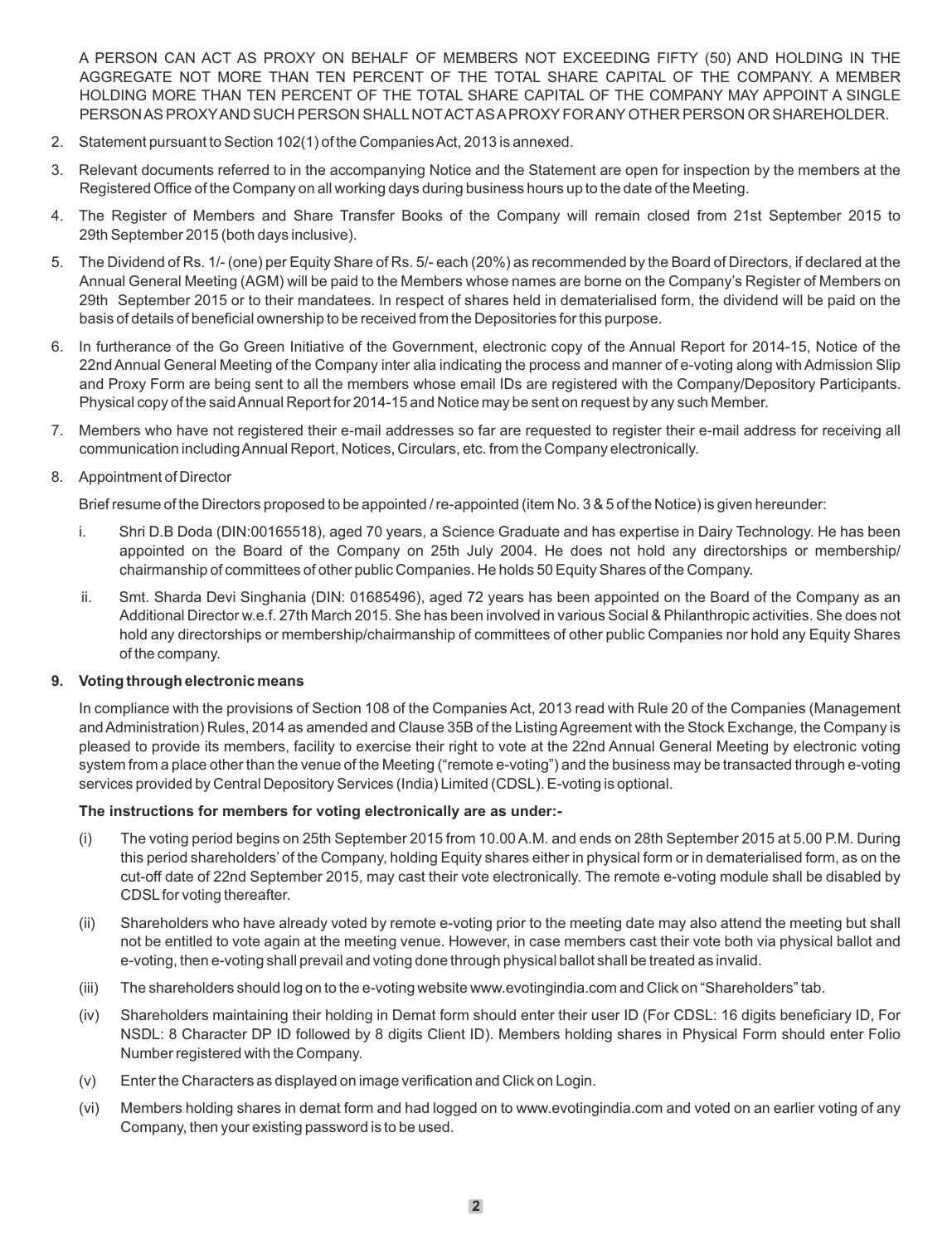A PERSON CAN ACT AS PROXY ON BEHALF OF MEMBERS NOT EXCEEDING FIFTY (50) AND HOLDING IN THE AGGREGATE NOT MORE THAN TEN PERCENT OF THE TOTAL SHARE CAPITAL OF THE COMPANY. A MEMBER HOLDING MORE THAN TEN PERCENT OF THE TOTAL SHARE CAPITAL OF THE COMPANY MAY APPOINT A SINGLE PERSON AS PROXYAND SUCH PERSON SHALLNOTACTAS APROXYFOR ANYOTHER PERSON OR SHAREHOLDER.

- 2. Statement pursuant to Section 102(1) of the Companies Act, 2013 is annexed.
- 3. Relevant documents referred to in the accompanying Notice and the Statement are open for inspection by the members at the Registered Office of the Company on all working days during business hours up to the date of the Meeting.
- 4. The Register of Members and Share Transfer Books of the Company will remain closed from 21st September 2015 to 29th September 2015 (both days inclusive).
- 5. The Dividend of Rs. 1/- (one) per Equity Share of Rs. 5/- each (20%) as recommended by the Board of Directors, if declared at the Annual General Meeting (AGM) will be paid to the Members whose names are borne on the Company's Register of Members on 29th September 2015 or to their mandatees. In respect of shares held in dematerialised form, the dividend will be paid on the basis of details of beneficial ownership to be received from the Depositories for this purpose.
- 6. In furtherance of the Go Green Initiative of the Government, electronic copy of the Annual Report for 2014-15, Notice of the 22nd Annual General Meeting of the Company inter alia indicating the process and manner of e-voting along with Admission Slip and Proxy Form are being sent to all the members whose email IDs are registered with the Company/Depository Participants. Physical copy of the said Annual Report for 2014-15 and Notice may be sent on request by any such Member.
- 7. Members who have not registered their e-mail addresses so far are requested to register their e-mail address for receiving all communication including Annual Report, Notices, Circulars, etc. from the Company electronically.

## 8. Appointment of Director

Brief resume of the Directors proposed to be appointed / re-appointed (item No. 3 & 5 of the Notice) is given hereunder:

- i. Shri D.B Doda (DIN:00165518), aged 70 years, a Science Graduate and has expertise in Dairy Technology. He has been appointed on the Board of the Company on 25th July 2004. He does not hold any directorships or membership/ chairmanship of committees of other public Companies. He holds 50 Equity Shares of the Company.
- ii. Smt. Sharda Devi Singhania (DIN: 01685496), aged 72 years has been appointed on the Board of the Company as an Additional Director w.e.f. 27th March 2015. She has been involved in various Social & Philanthropic activities. She does not hold any directorships or membership/chairmanship of committees of other public Companies nor hold any Equity Shares of the company.

### **9. Voting through electronic means**

In compliance with the provisions of Section 108 of the Companies Act, 2013 read with Rule 20 of the Companies (Management and Administration) Rules, 2014 as amended and Clause 35B of the Listing Agreement with the Stock Exchange, the Company is pleased to provide its members, facility to exercise their right to vote at the 22nd Annual General Meeting by electronic voting system from a place other than the venue of the Meeting ("remote e-voting") and the business may be transacted through e-voting services provided by Central Depository Services (India) Limited (CDSL). E-voting is optional.

#### **The instructions for members for voting electronically are as under:-**

- (i) The voting period begins on 25th September 2015 from 10.00 A.M. and ends on 28th September 2015 at 5.00 P.M. During this period shareholders' of the Company, holding Equity shares either in physical form or in dematerialised form, as on the cut-off date of 22nd September 2015, may cast their vote electronically. The remote e-voting module shall be disabled by CDSLfor voting thereafter.
- (ii) Shareholders who have already voted by remote e-voting prior to the meeting date may also attend the meeting but shall not be entitled to vote again at the meeting venue. However, in case members cast their vote both via physical ballot and e-voting, then e-voting shall prevail and voting done through physical ballot shall be treated as invalid.
- (iii) The shareholders should log on to the e-voting website www.evotingindia.com and Click on "Shareholders" tab.
- (iv) Shareholders maintaining their holding in Demat form should enter their user ID (For CDSL: 16 digits beneficiary ID, For NSDL: 8 Character DP ID followed by 8 digits Client ID). Members holding shares in Physical Form should enter Folio Number registered with the Company.
- (v) Enter the Characters as displayed on image verification and Click on Login.
- (vi) Members holding shares in demat form and had logged on to www.evotingindia.com and voted on an earlier voting of any Company, then your existing password is to be used.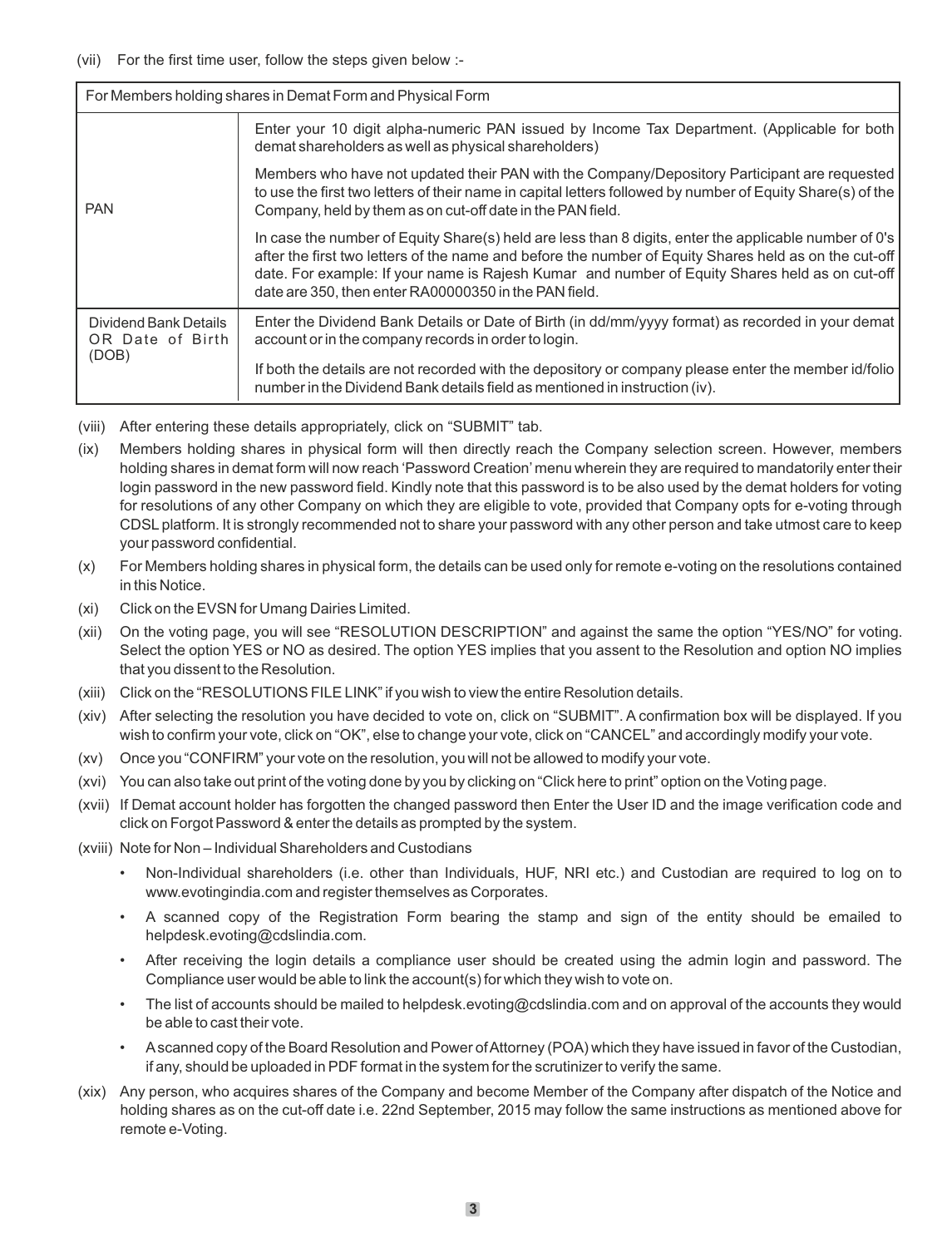### (vii) For the first time user, follow the steps given below :-

| For Members holding shares in Demat Form and Physical Form |                                                                                                                                                                                                                                                                                                                                                                           |  |
|------------------------------------------------------------|---------------------------------------------------------------------------------------------------------------------------------------------------------------------------------------------------------------------------------------------------------------------------------------------------------------------------------------------------------------------------|--|
| <b>PAN</b>                                                 | Enter your 10 digit alpha-numeric PAN issued by Income Tax Department. (Applicable for both<br>demat shareholders as well as physical shareholders)                                                                                                                                                                                                                       |  |
|                                                            | Members who have not updated their PAN with the Company/Depository Participant are requested<br>to use the first two letters of their name in capital letters followed by number of Equity Share(s) of the<br>Company, held by them as on cut-off date in the PAN field.                                                                                                  |  |
|                                                            | In case the number of Equity Share(s) held are less than 8 digits, enter the applicable number of 0's<br>after the first two letters of the name and before the number of Equity Shares held as on the cut-off<br>date. For example: If your name is Rajesh Kumar and number of Equity Shares held as on cut-off<br>date are 350, then enter RA00000350 in the PAN field. |  |
| Dividend Bank Details<br>OR Date of Birth<br>(DOB)         | Enter the Dividend Bank Details or Date of Birth (in dd/mm/yyyy format) as recorded in your demat<br>account or in the company records in order to login.                                                                                                                                                                                                                 |  |
|                                                            | If both the details are not recorded with the depository or company please enter the member id/folio<br>number in the Dividend Bank details field as mentioned in instruction (iv).                                                                                                                                                                                       |  |

- (viii) After entering these details appropriately, click on "SUBMIT" tab.
- (ix) Members holding shares in physical form will then directly reach the Company selection screen. However, members holding shares in demat form will now reach 'Password Creation' menu wherein they are required to mandatorily enter their login password in the new password field. Kindly note that this password is to be also used by the demat holders for voting for resolutions of any other Company on which they are eligible to vote, provided that Company opts for e-voting through CDSL platform. It is strongly recommended not to share your password with any other person and take utmost care to keep your password confidential.
- (x) For Members holding shares in physical form, the details can be used only for remote e-voting on the resolutions contained in this Notice.
- (xi) Click on the EVSN for Umang Dairies Limited.
- (xii) On the voting page, you will see "RESOLUTION DESCRIPTION" and against the same the option "YES/NO" for voting. Select the option YES or NO as desired. The option YES implies that you assent to the Resolution and option NO implies that you dissent to the Resolution.
- (xiii) Click on the "RESOLUTIONS FILE LINK" if you wish to view the entire Resolution details.
- (xiv) After selecting the resolution you have decided to vote on, click on "SUBMIT". A confirmation box will be displayed. If you wish to confirm your vote, click on "OK", else to change your vote, click on "CANCEL" and accordingly modify your vote.
- (xv) Once you "CONFIRM" your vote on the resolution, you will not be allowed to modify your vote.
- (xvi) You can also take out print of the voting done by you by clicking on "Click here to print" option on the Voting page.
- (xvii) If Demat account holder has forgotten the changed password then Enter the User ID and the image verification code and click on Forgot Password & enter the details as prompted by the system.
- (xviii) Note for Non Individual Shareholders and Custodians
	- Non-Individual shareholders (i.e. other than Individuals, HUF, NRI etc.) and Custodian are required to log on to www.evotingindia.com and register themselves as Corporates.
	- A scanned copy of the Registration Form bearing the stamp and sign of the entity should be emailed to helpdesk.evoting@cdslindia.com.
	- After receiving the login details a compliance user should be created using the admin login and password. The Compliance user would be able to link the account(s) for which they wish to vote on.
	- The list of accounts should be mailed to helpdesk.evoting@cdslindia.com and on approval of the accounts they would be able to cast their vote.
	- Ascanned copy of the Board Resolution and Power of Attorney (POA) which they have issued in favor of the Custodian, if any, should be uploaded in PDF format in the system for the scrutinizer to verify the same.
- (xix) Any person, who acquires shares of the Company and become Member of the Company after dispatch of the Notice and holding shares as on the cut-off date i.e. 22nd September, 2015 may follow the same instructions as mentioned above for remote e-Voting.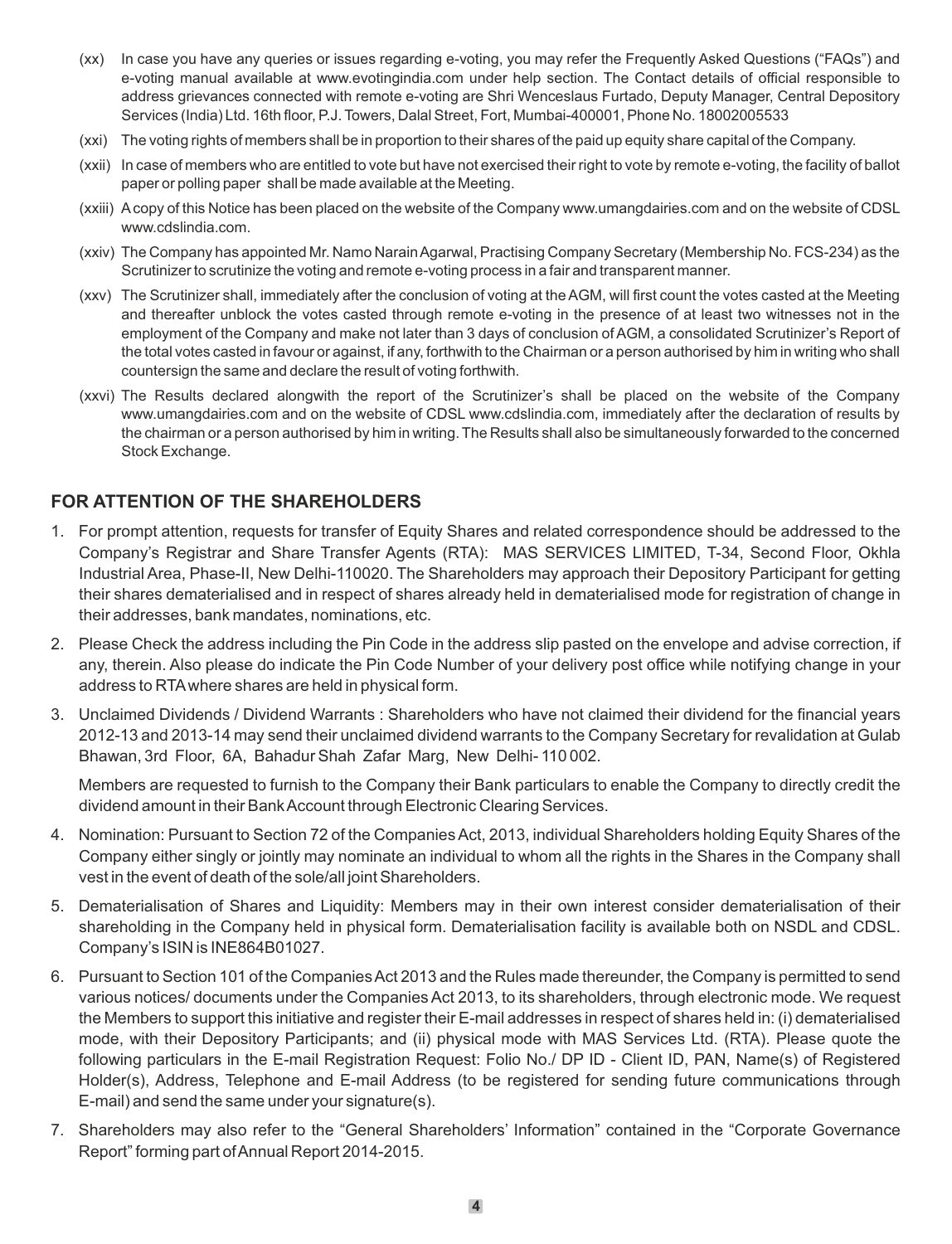- (xx) In case you have any queries or issues regarding e-voting, you may refer the Frequently Asked Questions ("FAQs") and e-voting manual available at www.evotingindia.com under help section. The Contact details of official responsible to address grievances connected with remote e-voting are Shri Wenceslaus Furtado, Deputy Manager, Central Depository Services (India) Ltd. 16th floor, P.J. Towers, Dalal Street, Fort, Mumbai-400001, Phone No. 18002005533
- (xxi) The voting rights of members shall be in proportion to their shares of the paid up equity share capital of the Company.
- (xxii) In case of members who are entitled to vote but have not exercised their right to vote by remote e-voting, the facility of ballot paper or polling paper shall be made available at the Meeting.
- (xxiii) Acopy of this Notice has been placed on the website of the Company www.umangdairies.com and on the website of CDSL www.cdslindia.com.
- (xxiv) The Company has appointed Mr. Namo Narain Agarwal, Practising Company Secretary (Membership No. FCS-234) as the Scrutinizer to scrutinize the voting and remote e-voting process in a fair and transparent manner.
- (xxv) The Scrutinizer shall, immediately after the conclusion of voting at the AGM, will first count the votes casted at the Meeting and thereafter unblock the votes casted through remote e-voting in the presence of at least two witnesses not in the employment of the Company and make not later than 3 days of conclusion of AGM, a consolidated Scrutinizer's Report of the total votes casted in favour or against, if any, forthwith to the Chairman or a person authorised by him in writing who shall countersign the same and declare the result of voting forthwith.
- (xxvi) The Results declared alongwith the report of the Scrutinizer's shall be placed on the website of the Company www.umangdairies.com and on the website of CDSL www.cdslindia.com, immediately after the declaration of results by the chairman or a person authorised by him in writing. The Results shall also be simultaneously forwarded to the concerned Stock Exchange.

## **FOR ATTENTION OF THE SHAREHOLDERS**

- 1. For prompt attention, requests for transfer of Equity Shares and related correspondence should be addressed to the Company's Registrar and Share Transfer Agents (RTA): MAS SERVICES LIMITED, T-34, Second Floor, Okhla Industrial Area, Phase-II, New Delhi-110020. The Shareholders may approach their Depository Participant for getting their shares dematerialised and in respect of shares already held in dematerialised mode for registration of change in their addresses, bank mandates, nominations, etc.
- 2. Please Check the address including the Pin Code in the address slip pasted on the envelope and advise correction, if any, therein. Also please do indicate the Pin Code Number of your delivery post office while notifying change in your address to RTAwhere shares are held in physical form.
- 3. Unclaimed Dividends / Dividend Warrants : Shareholders who have not claimed their dividend for the financial years 2012-13 and 2013-14 may send their unclaimed dividend warrants to the Company Secretary for revalidation at Gulab Bhawan, 3rd Floor, 6A, Bahadur Shah Zafar Marg, New Delhi- 110 002.

Members are requested to furnish to the Company their Bank particulars to enable the Company to directly credit the dividend amount in their Bank Account through Electronic Clearing Services.

- 4. Nomination: Pursuant to Section 72 of the Companies Act, 2013, individual Shareholders holding Equity Shares of the Company either singly or jointly may nominate an individual to whom all the rights in the Shares in the Company shall vest in the event of death of the sole/all joint Shareholders.
- 5. Dematerialisation of Shares and Liquidity: Members may in their own interest consider dematerialisation of their shareholding in the Company held in physical form. Dematerialisation facility is available both on NSDL and CDSL. Company's ISIN is INE864B01027.
- 6. Pursuant to Section 101 of the Companies Act 2013 and the Rules made thereunder, the Company is permitted to send various notices/ documents under the Companies Act 2013, to its shareholders, through electronic mode. We request the Members to support this initiative and register their E-mail addresses in respect of shares held in: (i) dematerialised mode, with their Depository Participants; and (ii) physical mode with MAS Services Ltd. (RTA). Please quote the following particulars in the E-mail Registration Request: Folio No./ DP ID - Client ID, PAN, Name(s) of Registered Holder(s), Address, Telephone and E-mail Address (to be registered for sending future communications through E-mail) and send the same under your signature(s).
- 7. Shareholders may also refer to the "General Shareholders' Information" contained in the "Corporate Governance Report" forming part of Annual Report 2014-2015.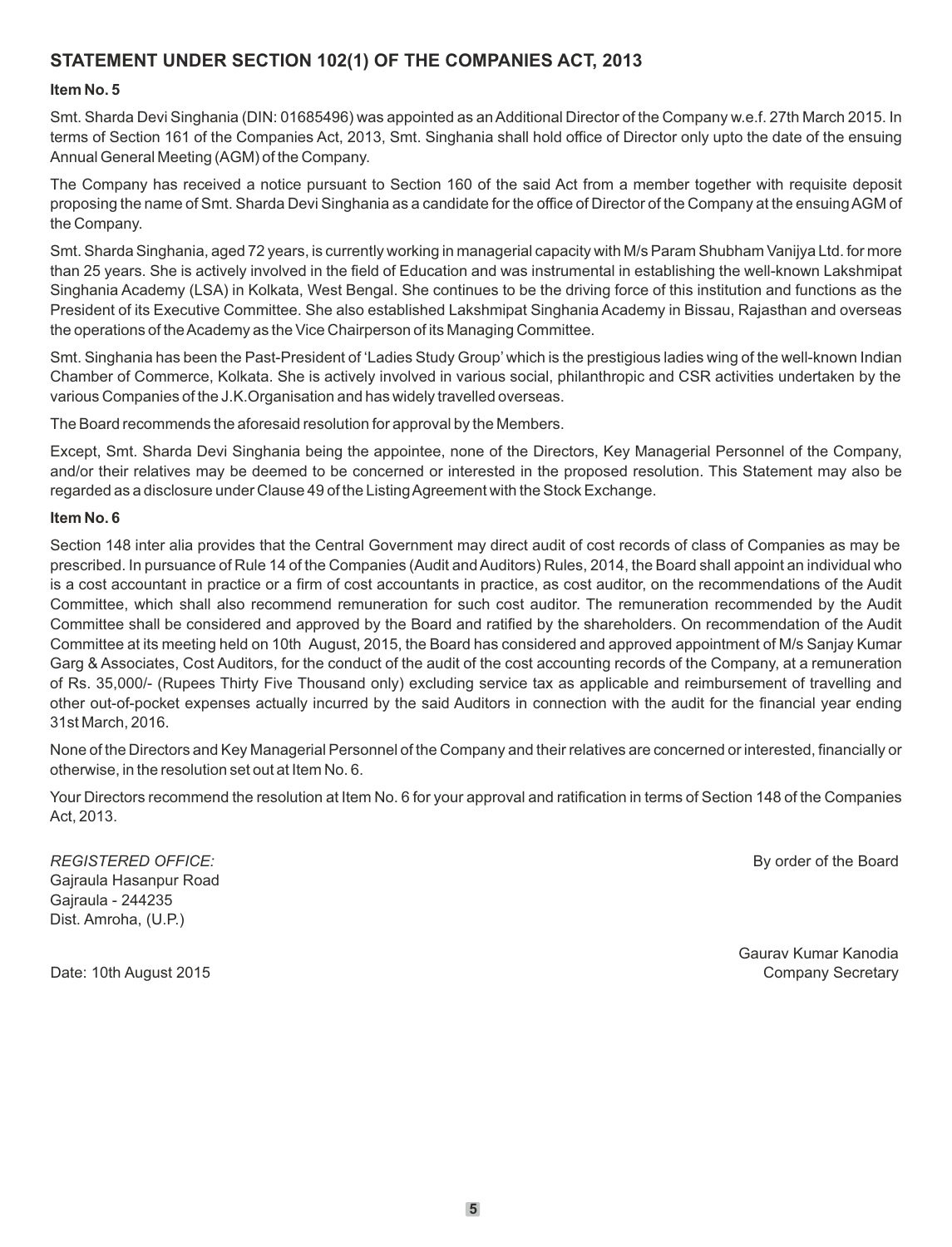## **STATEMENT UNDER SECTION 102(1) OF THE COMPANIES ACT, 2013**

## **Item No. 5**

Smt. Sharda Devi Singhania (DIN: 01685496) was appointed as an Additional Director of the Company w.e.f. 27th March 2015. In terms of Section 161 of the Companies Act, 2013, Smt. Singhania shall hold office of Director only upto the date of the ensuing Annual General Meeting (AGM) of the Company.

The Company has received a notice pursuant to Section 160 of the said Act from a member together with requisite deposit proposing the name of Smt. Sharda Devi Singhania as a candidate for the office of Director of the Company at the ensuing AGM of the Company.

Smt. Sharda Singhania, aged 72 years, is currently working in managerial capacity with M/s Param Shubham Vanijya Ltd. for more than 25 years. She is actively involved in the field of Education and was instrumental in establishing the well-known Lakshmipat Singhania Academy (LSA) in Kolkata, West Bengal. She continues to be the driving force of this institution and functions as the President of its Executive Committee. She also established Lakshmipat Singhania Academy in Bissau, Rajasthan and overseas the operations of the Academy as the Vice Chairperson of its Managing Committee.

Smt. Singhania has been the Past-President of 'Ladies Study Group' which is the prestigious ladies wing of the well-known Indian Chamber of Commerce, Kolkata. She is actively involved in various social, philanthropic and CSR activities undertaken by the various Companies of the J.K.Organisation and has widely travelled overseas.

The Board recommends the aforesaid resolution for approval by the Members.

Except, Smt. Sharda Devi Singhania being the appointee, none of the Directors, Key Managerial Personnel of the Company, and/or their relatives may be deemed to be concerned or interested in the proposed resolution. This Statement may also be regarded as a disclosure under Clause 49 of the Listing Agreement with the Stock Exchange.

## **Item No. 6**

Section 148 inter alia provides that the Central Government may direct audit of cost records of class of Companies as may be prescribed. In pursuance of Rule 14 of the Companies (Audit and Auditors) Rules, 2014, the Board shall appoint an individual who is a cost accountant in practice or a firm of cost accountants in practice, as cost auditor, on the recommendations of the Audit Committee, which shall also recommend remuneration for such cost auditor. The remuneration recommended by the Audit Committee shall be considered and approved by the Board and ratified by the shareholders. On recommendation of the Audit Committee at its meeting held on 10th August, 2015, the Board has considered and approved appointment of M/s Sanjay Kumar Garg & Associates, Cost Auditors, for the conduct of the audit of the cost accounting records of the Company, at a remuneration of Rs. 35,000/- (Rupees Thirty Five Thousand only) excluding service tax as applicable and reimbursement of travelling and other out-of-pocket expenses actually incurred by the said Auditors in connection with the audit for the financial year ending 31st March, 2016.

None of the Directors and Key Managerial Personnel of the Company and their relatives are concerned or interested, financially or otherwise, in the resolution set out at Item No. 6.

Your Directors recommend the resolution at Item No. 6 for your approval and ratification in terms of Section 148 of the Companies Act, 2013.

**REGISTERED OFFICE: By order of the Board By order of the Board** Gajraula Hasanpur Road Gajraula - 244235 Dist. Amroha, (U.P.)

Gaurav Kumar Kanodia Date: 10th August 2015 **Company Secretary** Company Secretary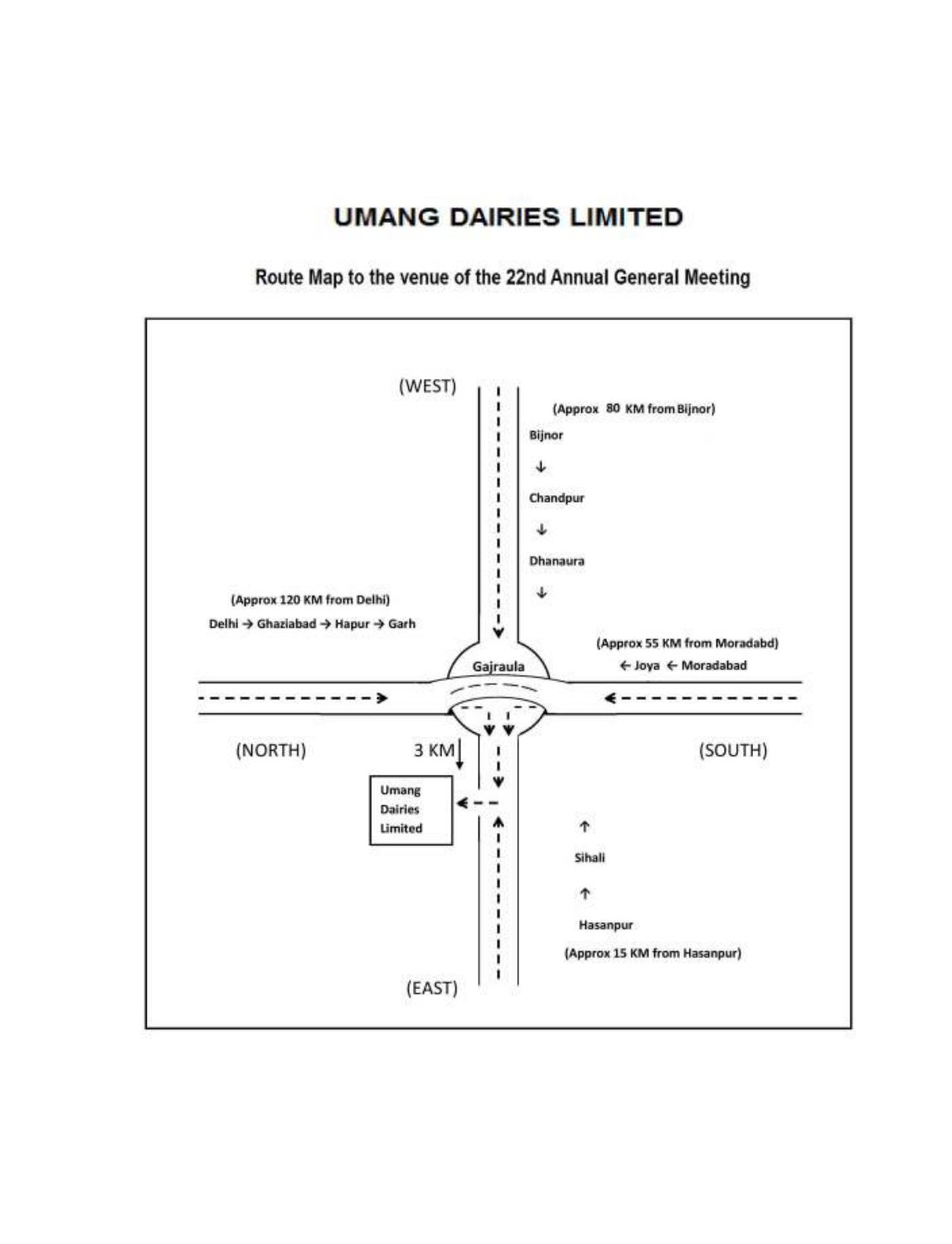## **UMANG DAIRIES LIMITED**

Route Map to the venue of the 22nd Annual General Meeting

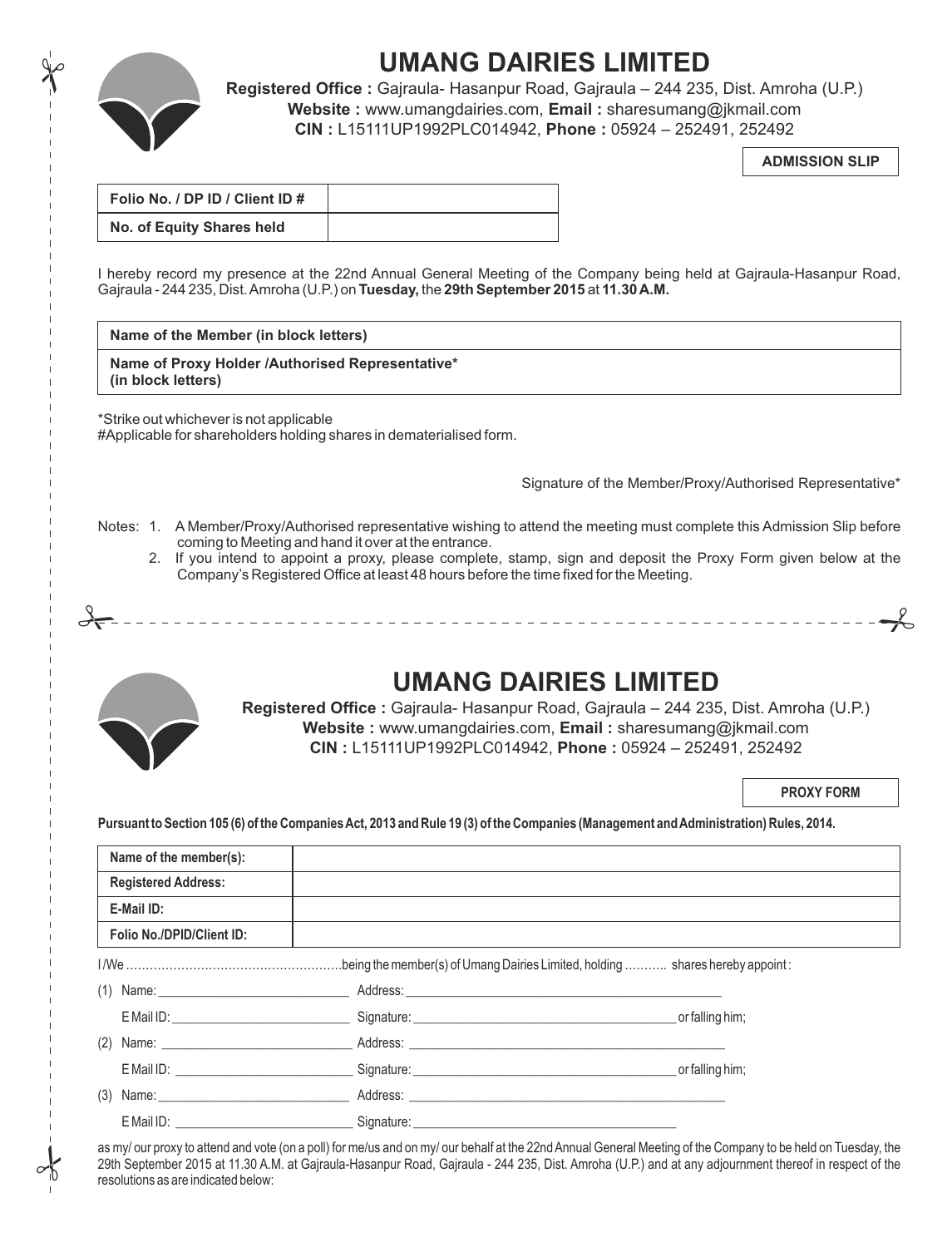

 $\frac{1}{\sqrt{2}}$ 

# **UMANG DAIRIES LIMITED**

**Registered Office :** Gajraula- Hasanpur Road, Gajraula – 244 235, Dist. Amroha (U.P.) **Website :** www.umangdairies.com, **Email :** sharesumang@jkmail.com **CIN :** L15111UP1992PLC014942, **Phone :** 05924 – 252491, 252492

**ADMISSION SLIP**

| Folio No. / DP ID / Client ID # |  |
|---------------------------------|--|
| No. of Equity Shares held       |  |

I hereby record my presence at the 22nd Annual General Meeting of the Company being held at Gajraula-Hasanpur Road, Gajraula - 244 235, Dist. Amroha (U.P.) on **Tuesday,** the **29th September 2015** at **11.30 A.M.**

## **Name of the Member (in block letters)**

**Name of Proxy Holder /Authorised Representative\* (in block letters)**

\*Strike out whichever is not applicable #Applicable for shareholders holding shares in dematerialised form.

Signature of the Member/Proxy/Authorised Representative\*

Notes: 1. A Member/Proxy/Authorised representative wishing to attend the meeting must complete this Admission Slip before coming to Meeting and hand it over at the entrance.

# #

2. If you intend to appoint a proxy, please complete, stamp, sign and deposit the Proxy Form given below at the Company's Registered Office at least 48 hours before the time fixed for the Meeting.



 $\frac{1}{2}$ 

## **UMANG DAIRIES LIMITED**

**Registered Office :** Gajraula- Hasanpur Road, Gajraula – 244 235, Dist. Amroha (U.P.) **Website :** www.umangdairies.com, **Email :** sharesumang@jkmail.com **CIN :** L15111UP1992PLC014942, **Phone :** 05924 – 252491, 252492

**PROXY FORM**

**Pursuant to Section 105 (6) of the Companies Act, 2013 and Rule 19 (3) of the Companies (Management and Administration) Rules, 2014.**

| Name of the member(s):     |                                                                                                                                                                                                                                |                 |
|----------------------------|--------------------------------------------------------------------------------------------------------------------------------------------------------------------------------------------------------------------------------|-----------------|
| <b>Registered Address:</b> |                                                                                                                                                                                                                                |                 |
| E-Mail ID:                 |                                                                                                                                                                                                                                |                 |
| Folio No./DPID/Client ID:  |                                                                                                                                                                                                                                |                 |
|                            |                                                                                                                                                                                                                                |                 |
|                            | (1) Name: National Address: National Address: National Address: National Address: National Address: National Address: National Address: National Address: National Address: National Address: National Address: National Addre |                 |
|                            | E Mail ID: contract and the contract of the Signature: Contract of the Contract of the Contract of the Contract of the Contract of the Contract of the Contract of the Contract of the Contract of the Contract of the Contrac |                 |
|                            | (2) Name: __________________________________Address: ____________________________                                                                                                                                              |                 |
|                            |                                                                                                                                                                                                                                | or falling him; |
|                            | (3) Name: Address: Address: Address: Address: Address: Address: Address: Address: Address: Address: Address: Address: Address: Address: Address: Address: Address: Address: Address: Address: Address: Address: Address: Addre |                 |
| E Mail ID: The Mail ID:    |                                                                                                                                                                                                                                |                 |
|                            |                                                                                                                                                                                                                                |                 |

as my/ our proxy to attend and vote (on a poll) for me/us and on my/ our behalf at the 22nd Annual General Meeting of the Company to be held on Tuesday, the 29th September 2015 at 11.30 A.M. at Gajraula-Hasanpur Road, Gajraula - 244 235, Dist. Amroha (U.P.) and at any adjournment thereof in respect of the resolutions as are indicated below: